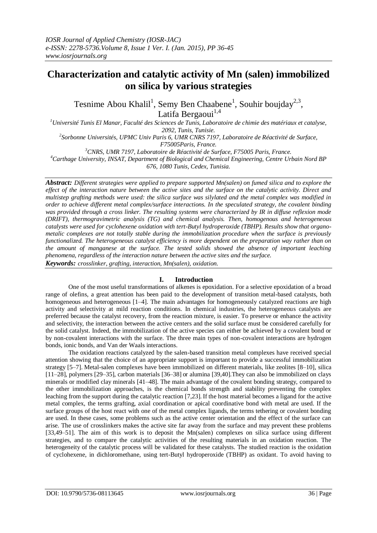# **Characterization and catalytic activity of Mn (salen) immobilized on silica by various strategies**

Tesnime Abou Khalil<sup>1</sup>, Semy Ben Chaabene<sup>1</sup>, Souhir boujday<sup>2,3</sup>, Latifa Bergaoui<sup>1,4</sup>

*<sup>1</sup>Université Tunis El Manar, Faculté des Sciences de Tunis, Laboratoire de chimie des matériaux et catalyse, 2092, Tunis, Tunisie.*

*2 Sorbonne Universités, UPMC Univ Paris 6, UMR CNRS 7197, Laboratoire de Réactivité de Surface, F75005Paris, France.*

*<sup>3</sup>CNRS, UMR 7197, Laboratoire de Réactivité de Surface, F75005 Paris, France.*

*<sup>4</sup>Carthage University, INSAT, Department of Biological and Chemical Engineering, Centre Urbain Nord BP* 

*676, 1080 Tunis, Cedex, Tunisia.*

*Abstract: Different strategies were applied to prepare supported Mn(salen) on fumed silica and to explore the effect of the interaction nature between the active sites and the surface on the catalytic activity. Direct and multistep grafting methods were used: the silica surface was silylated and the metal complex was modified in order to achieve different metal complex/surface interactions. In the speculated strategy, the covalent binding was provided through a cross linker. The resulting systems were characterized by IR in diffuse reflexion mode (DRIFT), thermogravimetric analysis (TG) and chemical analysis. Then, homogenous and heterogeneous catalysts were used for cyclohexene oxidation with tert-Butyl hydroperoxide (TBHP). Results show that organometalic complexes are not totally stable during the immobilization procedure when the surface is previously functionalized. The heterogeneous catalyst efficiency is more dependent on the preparation way rather than on the amount of manganese at the surface. The tested solids showed the absence of important leaching phenomena, regardless of the interaction nature between the active sites and the surface.*

*Keywords: crosslinker, grafting, interaction, Mn(salen), oxidation.*

## **I. Introduction**

One of the most useful transformations of alkenes is epoxidation. For a selective epoxidation of a broad range of olefins, a great attention has been paid to the development of transition metal-based catalysts, both homogeneous and heterogeneous [1–4]. The main advantages for homogeneously catalyzed reactions are high activity and selectivity at mild reaction conditions. In chemical industries, the heterogeneous catalysts are preferred because the catalyst recovery, from the reaction mixture, is easier. To preserve or enhance the activity and selectivity, the interaction between the active centers and the solid surface must be considered carefully for the solid catalyst. Indeed, the immobilization of the active species can either be achieved by a covalent bond or by non-covalent interactions with the surface. The three main types of non-covalent interactions are hydrogen bonds, ionic bonds, and Van der Waals interactions.

The oxidation reactions catalyzed by the salen-based transition metal complexes have received special attention showing that the choice of an appropriate support is important to provide a successful immobilization strategy [5–7]. Metal-salen complexes have been immobilized on different materials, like zeolites [8–10], silica [11–28], polymers [29–35], carbon materials [36–38] or alumina [39,40].They can also be immobilized on clays minerals or modified clay minerals [41–48]. The main advantage of the covalent bonding strategy, compared to the other immobilization approaches, is the chemical bonds strength and stability preventing the complex leaching from the support during the catalytic reaction [7,23]. If the host material becomes a ligand for the active metal complex, the terms grafting, axial coordination or apical coordinative bond with metal are used. If the surface groups of the host react with one of the metal complex ligands, the terms tethering or covalent bonding are used. In these cases, some problems such as the active center orientation and the effect of the surface can arise. The use of crosslinkers makes the active site far away from the surface and may prevent these problems [33,49–51]. The aim of this work is to deposit the Mn(salen) complexes on silica surface using different strategies, and to compare the catalytic activities of the resulting materials in an oxidation reaction. The heterogeneity of the catalytic process will be validated for these catalysts. The studied reaction is the oxidation of cyclohexene, in dichloromethane, using tert-Butyl hydroperoxide (TBHP) as oxidant. To avoid having to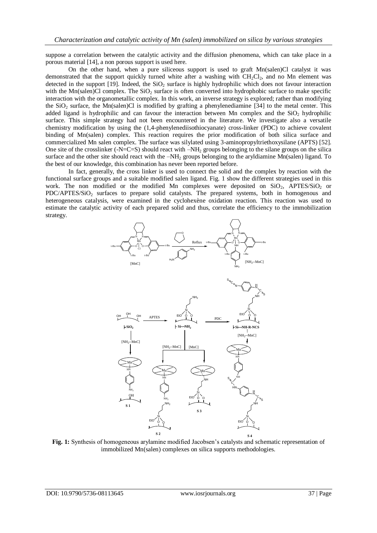suppose a correlation between the catalytic activity and the diffusion phenomena, which can take place in a porous material [14], a non porous support is used here.

On the other hand, when a pure siliceous support is used to graft Mn(salen)Cl catalyst it was demonstrated that the support quickly turned white after a washing with  $CH_2Cl_2$ , and no Mn element was detected in the support  $[19]$ . Indeed, the SiO<sub>2</sub> surface is highly hydrophilic which does not favour interaction with the Mn(salen)Cl complex. The  $SiO<sub>2</sub>$  surface is often converted into hydrophobic surface to make specific interaction with the organometallic complex. In this work, an inverse strategy is explored; rather than modifying the  $SiO<sub>2</sub>$  surface, the Mn(salen)Cl is modified by grafting a phenylenediamine [34] to the metal center. This added ligand is hydrophilic and can favour the interaction between Mn complex and the  $SiO<sub>2</sub>$  hydrophilic surface. This simple strategy had not been encountered in the literature. We investigate also a versatile chemistry modification by using the (1,4-phenylenediisothiocyanate) cross-linker (PDC) to achieve covalent binding of Mn(salen) complex. This reaction requires the prior modification of both silica surface and commercialized Mn salen complex. The surface was silylated using 3-aminopropyltriethoxysilane (APTS) [52]. One site of the crosslinker  $(-N=C=S)$  should react with  $-NH<sub>2</sub>$  groups belonging to the silane groups on the silica surface and the other site should react with the -NH<sub>2</sub> groups belonging to the aryldiamine Mn(salen) ligand. To the best of our knowledge, this combination has never been reported before.

In fact, generally, the cross linker is used to connect the solid and the complex by reaction with the functional surface groups and a suitable modified salen ligand. Fig. 1 show the different strategies used in this work. The non modified or the modified Mn complexes were deposited on  $SiO<sub>2</sub>$ , APTES/SiO<sub>2</sub> or PDC/APTES/SiO<sub>2</sub> surfaces to prepare solid catalysts. The prepared systems, both in homogenous and heterogeneous catalysis, were examined in the cyclohexène oxidation reaction. This reaction was used to estimate the catalytic activity of each prepared solid and thus, correlate the efficiency to the immobilization strategy.



**Fig. 1:** Synthesis of homogeneous arylamine modified Jacobsen's catalysts and schematic representation of immobilized Mn(salen) complexes on silica supports methodologies.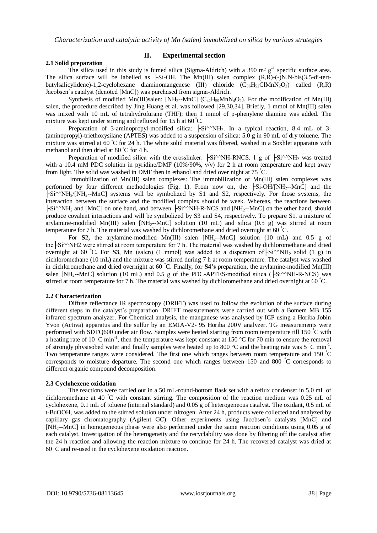## **2.1 Solid preparation**

## **II. Experimental section**

The silica used in this study is fumed silica (Sigma-Aldrich) with a 390  $m^2$  g<sup>-1</sup> specific surface area. The silica surface will be labelled as  $\frac{1}{10}$ -Si-OH. The Mn(III) salen complex  $(R, R)$ -(-)N,N-bis(3,5-di-tertbutylsalicylidene)-1,2-cyclohexane diaminomangenese (III) chloride  $(C_{36}H_{52}CIMnN_2O_2)$  called  $(R,R)$ Jacobsen's catalyst (denoted [MnC]) was purchased from sigma-Aldrich.

Synthesis of modified Mn(III)salen: [NH<sub>2</sub>--MnC] (C<sub>42</sub>H<sub>59</sub>MnN<sub>4</sub>O<sub>2</sub>). For the modification of Mn(III) salen, the procedure described by Jing Huang et al. was followed [29,30,34]. Briefly, 1 mmol of Mn(III) salen was mixed with 10 mL of tetrahydrofurane (THF); then 1 mmol of p-phenylene diamine was added. The mixture was kept under stirring and refluxed for 15 h at 60 °C.

Preparation of 3-aminopropyl-modified silica:  $\frac{1}{\sqrt{5}}$ i<sup> $\land$ </sup>NH<sub>2</sub>. In a typical reaction, 8.4 mL of 3-(aminopropyl)-triethoxysilane (APTES) was added to a suspension of silica: 5.0 g in 90 mL of dry toluene. The mixture was stirred at 60 °C for 24 h. The white solid material was filtered, washed in a Soxhlet apparatus with methanol and then dried at 80 ◦C for 4 h.

Preparation of modified silica with the crosslinker:  $\frac{1 \text{Si}^{\wedge} \text{NH-RNCS}}{1 \text{ g of }} \frac{1 \text{Si}^{\wedge} \text{NH}_2}{1 \text{ g of }}$  was treated with a 10.4 mM PDC solution in pyridine/DMF (10%/90%,  $v/v$ ) for 2 h at room temperature and kept away from light. The solid was washed in DMF then in ethanol and dried over night at 75 °C.

Immobilization of Mn(III) salen complexes: The immobilization of Mn(III) salen complexes was performed by four different methodologies (Fig. 1). From now on, the  $\left|\text{-Si-OH/[NH}_{2}\right|$ --MnC and the ├Si^^NH2/[NH2--MnC] systems will be symbolized by S1 and S2, respectively. For those systems, the interaction between the surface and the modified complex should be week. Whereas, the reactions between  $\text{Si}^{\wedge}\text{NH}_2$  and [MnC] on one hand, and between  $\text{Si}^{\wedge}\text{NH-R-NCS}$  and [NH<sub>2</sub>--MnC] on the other hand, should produce covalent interactions and will be symbolized by S3 and S4, respectively. To prepare S1, a mixture of arylamine-modified Mn(III) salen  $[NH<sub>2</sub>-MnC]$  solution (10 mL) and silica (0.5 g) was stirred at room temperature for 7 h. The material was washed by dichloromethane and dried overnight at 60  $\degree$ C.

For **S2,** the arylamine-modified Mn(III) salen [NH<sub>2</sub>--MnC] solution (10 mL) and 0.5 g of the  $\frac{1}{\pi}$ Si<sup> $\land$ </sup>NH2 were stirred at room temperature for 7 h. The material was washed by dichloromethane and dried overnight at 60 °C. For **S3**, Mn (salen) (1 mmol) was added to a dispersion of  $\left|\text{Si}^{\wedge}\text{NH}_2\right|$  solid (1 g) in dichloromethane (10 mL) and the mixture was stirred during 7 h at room temperature. The catalyst was washed in dichloromethane and dried overnight at 60 °C. Finally, for **S4's** preparation, the arylamine-modified Mn(III) salen [NH<sub>2</sub>--MnC] solution (10 mL) and 0.5 g of the PDC-APTES-modified silica ( $\div$ Si<sup> $\land$ </sup>NH-R-NCS) was stirred at room temperature for 7 h. The material was washed by dichloromethane and dried overnight at 60 °C.

### **2.2 Characterization**

Diffuse reflectance IR spectroscopy (DRIFT) was used to follow the evolution of the surface during different steps in the catalyst's preparation. DRIFT measurements were carried out with a Bomem MB 155 infrared spectrum analyzer. For Chemical analysis, the manganese was analysed by ICP using a Horiba Jobin Yvon (Activa) apparatus and the sulfur by an EMIA-V2- 95 Horiba 200V analyzer. TG measurements were performed with SDTQ600 under air flow. Samples were heated starting from room temperature till 150 °C with a heating rate of 10  $\degree$ C min<sup>-1</sup>, then the temperature was kept constant at 150  $\degree$ C for 70 min to ensure the removal of strongly physisobed water and finally samples were heated up to 800  $^{\circ}$ C and the heating rate was 5  $^{\circ}$ C min<sup>-1</sup>. Two temperature ranges were considered. The first one which ranges between room temperature and 150 °C corresponds to moisture departure. The second one which ranges between 150 and 800 °C corresponds to different organic compound decomposition.

### **2.3 Cyclohexene oxidation**

The reactions were carried out in a 50 mL-round-bottom flask set with a reflux condenser in 5.0 mL of dichloromethane at 40 °C with constant stirring. The composition of the reaction medium was 0.25 mL of cyclohexene, 0.1 mL of toluene (internal standard) and 0.05 g of heterogeneous catalyst. The oxidant, 0.5 mL of t-BuOOH, was added to the stirred solution under nitrogen. After 24 h, products were collected and analyzed by capillary gas chromatography (Agilent GC). Other experiments using Jacobsen's catalysts [MnC] and [NH2--MnC] in homogeneous phase were also performed under the same reaction conditions using 0.05 g of each catalyst. Investigation of the heterogeneity and the recyclability was done by filtering off the catalyst after the 24 h reaction and allowing the reaction mixture to continue for 24 h. The recovered catalyst was dried at 60 °C and re-used in the cyclohexene oxidation reaction.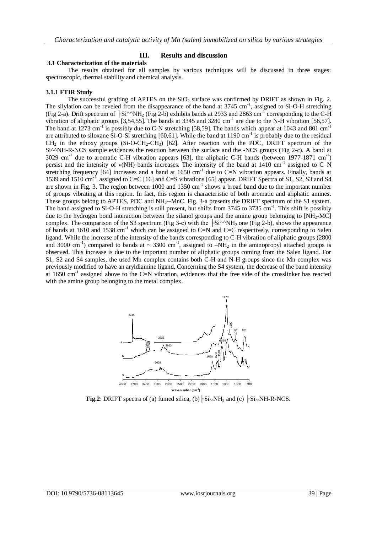## **III. Results and discussion**

#### **3.1 Characterization of the materials**

The results obtained for all samples by various techniques will be discussed in three stages: spectroscopic, thermal stability and chemical analysis.

### **3.1.1 FTIR Study**

The successful grafting of APTES on the  $SiO<sub>2</sub>$  surface was confirmed by DRIFT as shown in Fig. 2. The silylation can be reveled from the disappearance of the band at  $3745 \text{ cm}^{-1}$ , assigned to Si-O-H stretching (Fig 2-a). Drift spectrum of  $\frac{1}{5}$ Si<sup> $\wedge$ </sup>NH<sub>2</sub> (Fig 2-b) exhibits bands at 2933 and 2863 cm<sup>-1</sup> corresponding to the C-H vibration of aliphatic groups [3,54,55]. The bands at 3345 and 3280 cm<sup>-1</sup> are due to the N-H vibration [56,57]. The band at 1273 cm<sup>-1</sup> is possibly due to C-N stretching [58,59]. The bands which appear at 1043 and 801 cm<sup>-1</sup> are attributed to siloxane Si-O-Si stretching [60,61]. While the band at 1190 cm<sup>-1</sup> is probably due to the residual  $CH_2$  in the ethoxy groups (Si-O-CH<sub>2</sub>-CH<sub>3</sub>) [62]. After reaction with the PDC, DRIFT spectrum of the Si<sup> $\triangle$ </sup>NH-R-NCS sample evidences the reaction between the surface and the -NCS groups (Fig 2-c). A band at 3029 cm<sup>-1</sup> due to aromatic C-H vibration appears [63], the aliphatic C-H bands (between 1977-1871 cm<sup>-1</sup>) persist and the intensity of v(NH) bands increases. The intensity of the band at 1410 cm<sup>-1</sup> assigned to C-N stretching frequency  $[64]$  increases and a band at  $1650 \text{ cm}^{-1}$  due to C=N vibration appears. Finally, bands at 1539 and 1510 cm<sup>-1</sup>, assigned to C=C [16] and C=S vibrations [65] appear. DRIFT Spectra of S1, S2, S3 and S4 are shown in Fig. 3. The region between 1000 and 1350 cm<sup>-1</sup> shows a broad band due to the important number of groups vibrating at this region. In fact, this region is characteristic of both aromatic and aliphatic amines. These groups belong to APTES, PDC and NH<sub>2</sub>--MnC. Fig. 3-a presents the DRIFT spectrum of the S1 system. The band assigned to Si-O-H stretching is still present, but shifts from 3745 to 3735 cm<sup>-1</sup>. This shift is possibly due to the hydrogen bond interaction between the silanol groups and the amine group belonging to [NH<sub>2</sub>-MC] complex. The comparison of the S3 spectrum (Fig 3-c) with the  $\frac{1}{5}$ Si<sup> $\land$ </sup>NH<sub>2</sub> one (Fig 2-b), shows the appearance of bands at 1610 and 1538 cm<sup>-1</sup> which can be assigned to C=N and C=C respectively, corresponding to Salen ligand. While the increase of the intensity of the bands corresponding to C-H vibration of aliphatic groups (2800 and 3000 cm<sup>-1</sup>) compared to bands at  $\sim$  3300 cm<sup>-1</sup>, assigned to  $-NH_2$  in the aminopropyl attached groups is observed. This increase is due to the important number of aliphatic groups coming from the Salen ligand. For S1, S2 and S4 samples, the used Mn complex contains both C-H and N-H groups since the Mn complex was previously modified to have an aryldiamine ligand. Concerning the S4 system, the decrease of the band intensity at 1650 cm<sup>-1</sup> assigned above to the C=N vibration, evidences that the free side of the crosslinker has reacted with the amine group belonging to the metal complex.



**Fig.2**: DRIFT spectra of (a) fumed silica, (b)  $\div$ Si $\sim$ NH<sub>2</sub> and (c)  $\div$ Si $\sim$ NH-R-NCS.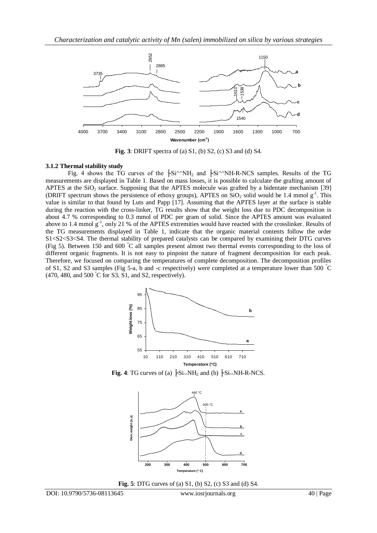

**Fig. 3**: DRIFT spectra of (a) S1, (b) S2, (c) S3 and (d) S4.

## **3.1.2 Thermal stability study**

Fig. 4 shows the TG curves of the  $\frac{1}{\sqrt{S}}$  + Si<sup> $\land$ </sup>NH<sub>2</sub> and  $\frac{1}{\sqrt{S}}$  + Si<sup> $\land$ </sup>NH-R-NCS samples. Results of the TG measurements are displayed in Table 1. Based on mass losses, it is possible to calculate the grafting amount of APTES at the  $SiO<sub>2</sub>$  surface. Supposing that the APTES molecule was grafted by a bidentate mechanism [39] (DRIFT spectrum shows the persistence of ethoxy groups), APTES on  $\rm SiO_2$  solid would be 1.4 mmol  $g^{-1}$ . This value is similar to that found by Luts and Papp [17]. Assuming that the APTES layer at the surface is stable during the reaction with the cross-linker, TG results show that the weight loss due to PDC decomposition is about 4.7 % corresponding to 0.3 mmol of PDC per gram of solid. Since the APTES amount was evaluated above to 1.4 mmol  $g^{-1}$ , only 21 % of the APTES extremities would have reacted with the crosslinker. Results of the TG measurements displayed in Table 1, indicate that the organic material contents follow the order S1<S2<S3<S4. The thermal stability of prepared catalysts can be compared by examining their DTG curves (Fig 5). Between 150 and 600 °C all samples present almost two thermal events corresponding to the loss of different organic fragments. It is not easy to pinpoint the nature of fragment decomposition for each peak. Therefore, we focused on comparing the temperatures of complete decomposition. The decomposition profiles of S1, S2 and S3 samples (Fig 5-a, b and -c respectively) were completed at a temperature lower than 500 °C  $(470, 480, \text{ and } 500 \degree \text{C}$  for S3, S1, and S2, respectively).



**Fig.** 4: TG curves of (a)  $\left| \text{Si}\right\rangle \text{NH}_2$  and (b)  $\left| \text{Si}\right\rangle \text{NH}-R-NCS$ .



**Fig. 5**: DTG curves of (a) S1, (b) S2, (c) S3 and (d) S4.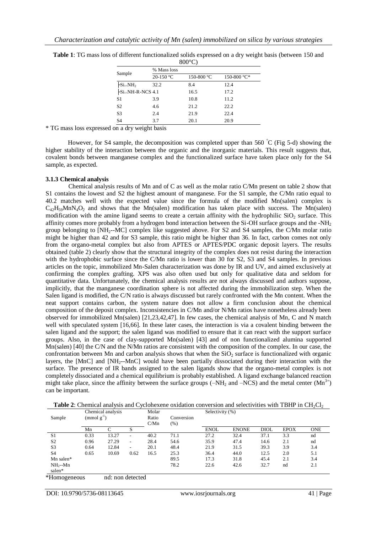| $800^{\circ}$ C)                           |             |            |             |  |  |  |  |
|--------------------------------------------|-------------|------------|-------------|--|--|--|--|
| Sample                                     | % Mass loss |            |             |  |  |  |  |
|                                            | 20-150 $°C$ | 150-800 °C | 150-800 °C* |  |  |  |  |
| $\mathsf{FSi}\scriptstyle\wedge\!\rm NH_2$ | 32.2        | 8.4        | 12.4        |  |  |  |  |
| -Si^^NH-R-NCS 4.1                          |             | 16.5       | 17.2        |  |  |  |  |
| S1                                         | 3.9         | 10.8       | 11.2        |  |  |  |  |
| S <sub>2</sub>                             | 4.6         | 21.2       | 22.2        |  |  |  |  |
| S3                                         | 2.4         | 21.9       | 22.4        |  |  |  |  |
| S <sub>4</sub>                             | 3.7         | 20.1       | 20.9        |  |  |  |  |

**Table 1**: TG mass loss of different functionalized solids expressed on a dry weight basis (between 150 and

\* TG mass loss expressed on a dry weight basis

However, for S4 sample, the decomposition was completed upper than 560 °C (Fig 5-d) showing the higher stability of the interaction between the organic and the inorganic materials. This result suggests that, covalent bonds between manganese complex and the functionalized surface have taken place only for the S4 sample, as expected.

## **3.1.3 Chemical analysis**

Chemical analysis results of Mn and of C as well as the molar ratio C/Mn present on table 2 show that S1 contains the lowest and S2 the highest amount of manganese. For the S1 sample, the C/Mn ratio equal to 40.2 matches well with the expected value since the formula of the modified Mn(salen) complex is  $C_{42}H_{59}MnN_4O_2$  and shows that the Mn(salen) modification has taken place with success. The Mn(salen) modification with the amine ligand seems to create a certain affinity with the hydrophilic  $SiO<sub>2</sub>$  surface. This affinity comes more probably from a hydrogen bond interaction between the Si-OH surface groups and the -NH<sup>2</sup> group belonging to [NH2--MC] complex like suggested above. For S2 and S4 samples, the C/Mn molar ratio might be higher than 42 and for S3 sample, this ratio might be higher than 36. In fact, carbon comes not only from the organo-metal complex but also from APTES or APTES/PDC organic deposit layers. The results obtained (table 2) clearly show that the structural integrity of the complex does not resist during the interaction with the hydrophobic surface since the C/Mn ratio is lower than 30 for S2, S3 and S4 samples. In previous articles on the topic, immobilized Mn-Salen characterization was done by IR and UV, and aimed exclusively at confirming the complex grafting. XPS was also often used but only for qualitative data and seldom for quantitative data. Unfortunately, the chemical analysis results are not always discussed and authors suppose, implicitly, that the manganese coordination sphere is not affected during the immobilization step. When the Salen ligand is modified, the C/N ratio is always discussed but rarely confronted with the Mn content. When the neat support contains carbon, the system nature does not allow a firm conclusion about the chemical composition of the deposit complex. Inconsistencies in C/Mn and/or N/Mn ratios have nonetheless already been observed for immobilized Mn(salen) [21,23,42,47]. In few cases, the chemical analysis of Mn, C and N match well with speculated system [16,66]. In these later cases, the interaction is via a covalent binding between the salen ligand and the support; the salen ligand was modified to ensure that it can react with the support surface groups. Also, in the case of clay-supported Mn(salen) [43] and of non functionalized alumina supported Mn(salen) [40] the C/N and the N/Mn ratios are consistent with the composition of the complex. In our case, the confrontation between Mn and carbon analysis shows that when the  $SiO<sub>2</sub>$  surface is functionalized with organic layers, the [MnC] and [NH2--MnC] would have been partially dissociated during their interaction with the surface. The presence of IR bands assigned to the salen ligands show that the organo-metal complex is not completely dissociated and a chemical equilibrium is probably established. A ligand exchange balanced reaction might take place, since the affinity between the surface groups ( $-NH_2$  and  $-NCS$ ) and the metal center ( $Mn^{3+}$ ) can be important.

| Sample              | Chemical analysis<br>$\pmod{g^{-1}}$ |       | Molar<br>Ratio<br>C/Mn | Conversion<br>$(\%)$ | Selectivity (%) |             |              |             |             |            |
|---------------------|--------------------------------------|-------|------------------------|----------------------|-----------------|-------------|--------------|-------------|-------------|------------|
|                     | Mn                                   | C     | S                      |                      |                 | <b>ENOL</b> | <b>ENONE</b> | <b>DIOL</b> | <b>EPOX</b> | <b>ONE</b> |
| S <sub>1</sub>      | 0.33                                 | 13.27 | -                      | 40.2                 | 71.1            | 27.2        | 32.4         | 37.1        | 3.3         | nd         |
| S <sub>2</sub>      | 0.96                                 | 27.29 | ۰                      | 28.4                 | 54.6            | 35.9        | 47.4         | 14.6        | 2.1         | nd         |
| S <sub>3</sub>      | 0.64                                 | 12.84 | ۰                      | 20.1                 | 48.4            | 21.9        | 31.5         | 39.3        | 3.9         | 3.4        |
| S <sub>4</sub>      | 0.65                                 | 10.69 | 0.62                   | 16.5                 | 25.3            | 36.4        | 44.0         | 12.5        | 2.0         | 5.1        |
| $Mn$ salen*         |                                      |       |                        |                      | 89.5            | 17.3        | 31.8         | 45.4        | 2.1         | 3.4        |
| $NH_2-Mn$<br>salen* |                                      |       |                        |                      | 78.2            | 22.6        | 42.6         | 32.7        | nd          | 2.1        |

\*Homogeneous nd: non detected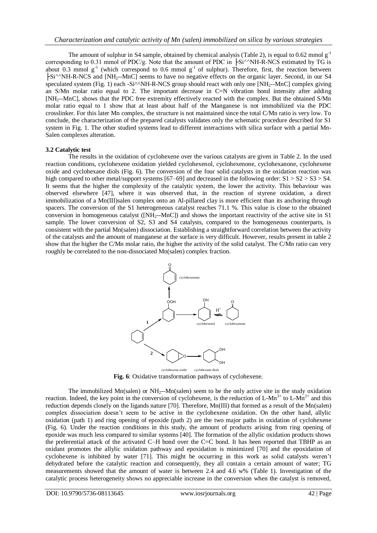The amount of sulphur in S4 sample, obtained by chemical analysis (Table 2), is equal to 0.62 mmol  $g^{-1}$ corresponding to 0.31 mmol of PDC/g. Note that the amount of PDC in  $\frac{1}{5}$ Si<sup> $\land$ </sup>NH-R-NCS estimated by TG is about 0.3 mmol  $g^{-1}$  (which correspond to 0.6 mmol  $g^{-1}$  of sulphur). Therefore, first, the reaction between ├Si^^NH-R-NCS and [NH2--MnC] seems to have no negative effects on the organic layer. Second, in our S4 speculated system (Fig. 1) each -Si^^NH-R-NCS group should react with only one [NH<sub>2</sub>--MnC] complex giving an S/Mn molar ratio equal to 2. The important decrease in C=N vibration bond intensity after adding [NH2--MnC], shows that the PDC free extremity effectively reacted with the complex. But the obtained S/Mn molar ratio equal to 1 show that at least about half of the Manganese is not immobilized via the PDC crosslinker. For this later Mn complex, the structure is not maintained since the total C/Mn ratio is very low. To conclude, the characterization of the prepared catalysts validates only the schematic procedure described for S1 system in Fig. 1. The other studied systems lead to different interactions with silica surface with a partial Mn-Salen complexes alteration.

### **3.2 Catalytic test**

The results in the oxidation of cyclohexene over the various catalysts are given in Table 2. In the used reaction conditions, cyclohexene oxidation yielded cyclohexenol, cyclohexenone, cyclohexanone, cyclohexene oxide and cyclohexane diols (Fig. 6). The conversion of the four solid catalysts in the oxidation reaction was high compared to other metal/support systems [67–69] and decreased in the following order:  $S1 > S2 > S3 > S4$ . It seems that the higher the complexity of the catalytic system, the lower the activity. This behaviour was observed elsewhere [47], where it was observed that, in the reaction of styrene oxidation, a direct immobilization of a Mn(III)salen complex onto an Al-pillared clay is more efficient than its anchoring through spacers. The conversion of the S1 heterogeneous catalyst reaches 71.1 %. This value is close to the obtained conversion in homogeneous catalyst ([NH<sub>2</sub>--MnC]) and shows the important reactivity of the active site in S1 sample. The lower conversion of S2, S3 and S4 catalysts, compared to the homogeneous counterparts, is consistent with the partial Mn(salen) dissociation. Establishing a straightforward correlation between the activity of the catalysts and the amount of manganese at the surface is very difficult. However, results present in table 2 show that the higher the C/Mn molar ratio, the higher the activity of the solid catalyst. The C/Mn ratio can very roughly be correlated to the non-dissociated Mn(salen) complex fraction.



**Fig. 6**: Oxidative transformation pathways of cyclohexene.

The immobilized  $Mn(salen)$  or  $NH_2-Mn(salen)$  seem to be the only active site in the study oxidation reaction. Indeed, the key point in the conversion of cyclohexene, is the reduction of L-Mn<sup>3+</sup> to L-Mn<sup>2+</sup> and this reduction depends closely on the ligands nature [70]. Therefore, Mn(III) that formed as a result of the Mn(salen) complex dissociation doesn't seem to be active in the cyclohexene oxidation. On the other hand, allylic oxidation (path 1) and ring opening of epoxide (path 2) are the two major paths in oxidation of cyclohexene (Fig. 6). Under the reaction conditions in this study, the amount of products arising from ring opening of epoxide was much less compared to similar systems [40]. The formation of the allylic oxidation products shows the preferential attack of the activated C–H bond over the C=C bond. It has been reported that TBHP as an oxidant promotes the allylic oxidation pathway and epoxidation is minimized [70] and the epoxidation of cyclohexene is inhibited by water [71]. This might be occurring in this work as solid catalysts weren't dehydrated before the catalytic reaction and consequently, they all contain a certain amount of water; TG measurements showed that the amount of water is between 2.4 and 4.6 w% (Table 1). Investigation of the catalytic process heterogeneity shows no appreciable increase in the conversion when the catalyst is removed,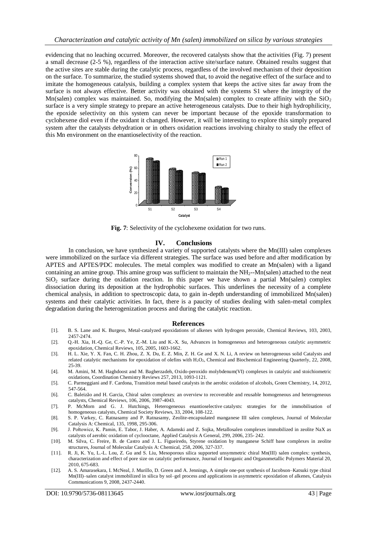evidencing that no leaching occurred. Moreover, the recovered catalysts show that the activities (Fig. 7) present a small decrease (2-5 %), regardless of the interaction active site/surface nature. Obtained results suggest that the active sites are stable during the catalytic process, regardless of the involved mechanism of their deposition on the surface. To summarize, the studied systems showed that, to avoid the negative effect of the surface and to imitate the homogeneous catalysis, building a complex system that keeps the active sites far away from the surface is not always effective. Better activity was obtained with the systems S1 where the integrity of the Mn(salen) complex was maintained. So, modifying the Mn(salen) complex to create affinity with the  $SiO<sub>2</sub>$ surface is a very simple strategy to prepare an active heterogeneous catalysts. Due to their high hydrophilicity, the epoxide selectivity on this system can never be important because of the epoxide transformation to cyclohexene diol even if the oxidant it changed. However, it will be interesting to explore this simply prepared system after the catalysts dehydration or in others oxidation reactions involving chiralty to study the effect of this Mn environment on the enantioselectivity of the reaction.



**Fig. 7**: Selectivity of the cyclohexene oxidation for two runs.

#### **IV. Conclusions**

In conclusion, we have synthesized a variety of supported catalysts where the Mn(III) salen complexes were immobilized on the surface via different strategies. The surface was used before and after modification by APTES and APTES/PDC molecules. The metal complex was modified to create an Mn(salen) with a ligand containing an amine group. This amine group was sufficient to maintain the NH<sub>2</sub>--Mn(salen) attached to the neat  $SiO<sub>2</sub>$  surface during the oxidation reaction. In this paper we have shown a partial Mn(salen) complex dissociation during its deposition at the hydrophobic surfaces. This underlines the necessity of a complete chemical analysis, in addition to spectroscopic data, to gain in-depth understanding of immobilized Mn(salen) systems and their catalytic activities. In fact, there is a paucity of studies dealing with salen-metal complex degradation during the heterogenization process and during the catalytic reaction.

#### **References**

- [1]. B. S. Lane and K. Burgess, Metal-catalyzed epoxidations of alkenes with hydrogen peroxide, Chemical Reviews, 103, 2003, 2457-2474.
- [2]. Q.-H. Xia, H.-Q. Ge, C.-P. Ye, Z.-M. Liu and K.-X. Su, Advances in homogeneous and heterogeneous catalytic asymmetric epoxidation, Chemical Reviews, 105, 2005, 1603-1662.
- [3]. H. L. Xie, Y. X. Fan, C. H. Zhou, Z. X. Du, E. Z. Min, Z. H. Ge and X. N. Li, A review on heterogeneous solid Catalysts and related catalytic mechanisms for epoxidation of olefins with H<sub>2</sub>O<sub>2</sub>, Chemical and Biochemical Engineering Quarterly, 22, 2008, 25-39.
- [4]. M. Amini, M. M. Haghdoost and M. Bagherzadeh, Oxido-peroxido molybdenum(VI) complexes in catalytic and stoichiometric oxidations, Coordination Chemistry Reviews 257, 2013, 1093-1121.
- [5]. C. Parmeggiani and F. Cardona, Transition metal based catalysts in the aerobic oxidation of alcohols, Green Chemistry, 14, 2012, 547-564.
- [6]. C. Baleizão and H. Garcia, Chiral salen complexes: an overview to recoverable and reusable homogeneous and heterogeneous catalysts, Chemical Reviews, 106, 2006, 3987-4043.
- [7]. P. McMorn and G. J. Hutchings, Heterogeneous enantioselective [catalysts: strategies for the immobilisation of](http://pubs.rsc.org/en/content/articlelanding/2004/cs/b200387m)  [homogeneous](http://pubs.rsc.org/en/content/articlelanding/2004/cs/b200387m) catalysts, Chemical Society Reviews, 33, 2004, 108-122.
- [8]. S. P. Varkey, C. Ratnasamy and P. Ratnasamy, Zeolite-encapsulated manganese III salen complexes, Journal of Molecular Catalysis A: Chemical, 135, 1998, 295-306.
- [9]. J. Połtowicz, K. Pamin, E. Tabor, J. Haber, A. Adamski and Z. Sojka, Metallosalen complexes immobilized in zeolite NaX as catalysts of aerobic oxidation of cyclooctane, Applied Catalysis A General, 299, 2006, 235- 242.
- [10]. M. Silva, C. Freire, B. de Castro and J. L. Figueiredo, Styrene oxidation by manganese Schiff base complexes in zeolite structures, Journal of Molecular Catalysis A: Chemical, 258, 2006, 327-337.
- [11]. R. Ji, K. Yu, L.-L. Lou, Z. Gu and S. Liu, Mesoporous silica supported unsymmetric chiral Mn(III) salen complex: synthesis, characterization and effect of pore size on catalytic performance, Journal of Inorganic and Organometallic Polymers Material 20, 2010, 675-683.
- [12]. A. S. Amarasekara, I. McNeal, J. Murillo, D. Green and A. Jennings, A simple one-pot synthesis of Jacobson–Katsuki type chiral Mn(III)–salen catalyst immobilized in silica by sol–gel process and applications in asymmetric epoxidation of alkenes, Catalysis Communications 9, 2008, 2437-2440.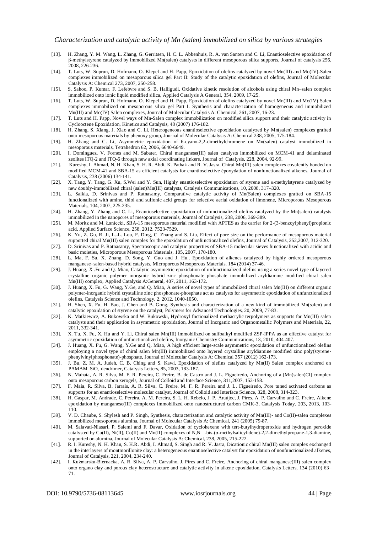- [13]. H. Zhang, Y. M. Wang, L. Zhang, G. Gerritsen, H. C. L. Abbenhuis, R. A. van Santen and C. Li, Enantioselective epoxidation of β-methylstyrene catalyzed by immobilized Mn(salen) catalysts in different mesoporous silica supports, Journal of catalysis 256, 2008, 226-236.
- [14]. T. Luts, W. Suprun, D. Hofmann, O. Klepel and H. Papp, Epoxidation of olefins catalyzed by novel Mn(III) and Mo(IV)-Salen complexes immobilized on mesoporous silica gel Part II: Study of the catalytic epoxidation of olefins, Journal of Molecular Catalysis A: Chemical 273, 2007, 250-258.
- [15]. S. Sahoo, P. Kumar, F. Lefebvre and S. B. Halligudi, Oxidative kinetic resolution of alcohols using chiral Mn–salen complex immobilized onto ionic liquid modified silica, Applied Catalysis A General, 354, 2009, 17-25.
- [16]. T. Luts, W. Suprun, D. Hofmann, O. Klepel and H. Papp, Epoxidation of olefins catalyzed by novel Mn(III) and Mo(IV) Salen complexes immobilized on mesoporous silica gel Part I. Synthesis and characterization of homogeneous and immobilized Mn(III) and Mo(IV) Salen complexes, Journal of Molecular Catalysis A: Chemical, 261, 2007, 16-23.
- [17]. T. Luts and H. Papp, Novel ways of Mn-Salen complex immobilization on modified silica support and their catalytic activity in Cyclooctene Epoxidation, Kinetics and Catalysis, 48 (2007) 176-182.
- [18]. H. Zhang, S. Xiang, J. Xiao and C. Li, Heterogeneous enantioselective epoxidation catalyzed by Mn(salen) complexes grafted onto mesoporous materials by phenoxy group, Journal of Molecular Catalysis A: Chemical 238, 2005, 175-184.
- [19]. H. Zhang and C. Li, Asymmetric epoxidation of 6-cyano-2,2-dimethylchromene on Mn(salen) catalyst immobilized in mesoporous materials, Tetrahedron 62, 2006, 6640-6649.
- [20]. I. Dominguez, V. Fornes and M. Sabater, Chiral manganese(III) salen catalysts immobilized on MCM-41 and delaminated zeolites ITQ-2 and ITQ-6 through new axial coordinating linkers, Journal of Catalysis, 228, 2004, 92-99.
- [21]. Kureshy, I. Ahmad, N. H. Khan, S. H. R. Abdi, K. Pathak and R. V. Jasra, Chiral Mn(III) salen complexes covalently bonded on modified MCM-41 and SBA-15 as efficient catalysts for enantioselective époxydation of nonfunctionalized alkenes, Journal of Catalysis, 238 (2006) 134-141.
- [22]. X. Tang, Y. Tang, G. Xu, S.Wei and Y. Sun, Highly enantioselective epoxidation of styrene and α-methylstyrene catalyzed by new doubly-immobilized chiral (salen)Mn(III) catalysts, Catalysis Communications, 10, 2008, 317–320.
- [23]. L. Saikia, D. Srinivas and P. Ratnasamy, Comparative catalytic activity of Mn(Salen) complexes grafted on SBA-15 functionalized with amine, thiol and sulfonic acid groups for selective aerial oxidation of limonene, Microporous Mesoporous Materials, 104, 2007, 225-235.
- [24]. H. Zhang, Y. Zhang and C. Li, Enantioselective epoxidation of unfunctionalized olefins catalyzed by the Mn(salen) catalysts immobilized in the nanopores of mesoporous materials, Journal of Catalysis, 238, 2006, 369-389.
- [25]. M. Moritz and M. Łaniecki, SBA-15 mesoporous material modified with APTES as the carrier for 2-(3-benzoylphenyl)propionic acid, Applied Surface Science, 258, 2012, 7523-7529.
- [26]. K. Yu, Z. Gu, R. Ji, L.-L. Lou, F. Ding, C. Zhang and S. Liu, Effect of pore size on the performance of mesoporous material supported chiral Mn(III) salen complex for the epoxidation of unfunctionalized olefins, Journal of Catalysis, 252,2007, 312-320.
- [27]. D. Srinivas and P. Ratnasamy, Spectroscopic and catalytic properties of SBA-15 molecular sieves functionalized with acidic and basic moieties, Microporous Mesoporous Materials, 105, 2007, 170-180.
- [28]. L. Ma, F. Su, X. Zhang, D. Song, Y. Guo and J. Hu., Epoxidation of alkenes catalyzed by highly ordered mesoporous manganese–salen-based hybrid catalysts, Microporous Mesoporous Materials, 184 (2014) 37-46.
- [29]. J. Huang, X .Fu and Q. Miao, Catalytic asymmetric epoxidation of unfunctionalized olefins using a series novel type of layered crystalline organic polymer–inorganic hybrid zinc phosphonate–phosphate immobilized aryldiamine modified chiral salen Mn(III) complex, Applied Catalysis A:General, 407, 2011, 163-172.
- [30]. J. Huang, X. Fu, G. Wang, Y.Ge, and Q. Miao, A series of novel types of immobilized chiral salen Mn(III) on different organic polymer-inorganic hybrid crystalline zinc phosphonate-phosphate act as catalysts for asymmetric epoxidation of unfunctionalized olefins, Catalysis Science and Technology, 2, 2012, 1040-1050.
- [31]. H. Shen, X. Fu, H. Bao, J. Chen and B. Gong, Synthesis and characterization of a new kind of immobilized Mn(salen) and catalytic epoxidation of styrene on the catalyst, Polymers for Advanced Technologies, 20, 2009, 77-83.
- [32]. K. Matkiewicz, A. Bukowska and W. Bukowski, Hydroxyl fnctionalized methacrylic terpolymers as supports for Mn(III) salen catalysts and their application in asymmetric epoxidation, Journal of Inorganic and [Organometallic](http://link.springer.com/journal/10904) Polymers and Materials, 22, 2011, 332-341.
- [33]. X. Tu, X. Fu, X. Hu and Y. Li, Chiral salen Mn(III) immobilized on sulfoalkyl modified ZSP-IPPA as an effective catalyst for asymmetric epoxidation of unfunctionalized olefins, Inorganic Chemistry Communications, 13, 2010, 404-407.
- [34]. J. Huang, X. Fu, G. Wang, Y.Ge and Q. Miao, A high efficient large-scale asymmetric epoxidation of unfunctionalized olefins employing a novel type of chiral salen Mn(III) immobilized onto layered crystalline aryldiamine modified zinc poly(styrenephenylvinylphosphonate)-phosphate, Journal of Molecular Catalysis A: Chemical 357 (2012) 162-173.
- [35]. J. Bu, Z. M. A. Judeh, C. B. Ching and S. Kawi, Epoxidation of olefins catalyzed by Mn(II) Salen complex anchored on PAMAM-SiO<sub>2</sub> dendrimer[, Catalysis](http://link.springer.com/journal/10562) Letters, 85, 2003, 183-187.
- [36]. N. Mahata, A. R. Silva, M. F. R. Pereira, C. Freire, B. de Castro and J. L. Figueiredo, Anchoring of a [Mn(salen)Cl] complex onto mesoporous carbon xerogels, Journal of Colloid and Interface Science, 311,2007, 152-158.
- [37]. F. Maia, R. Silva, B. Jarrais, A. R. Silva, C. Freire, M. F. R. Pereira and J. L. Figueiredo, Pore tuned activated carbons as supports for an enantioselective molecular catalyst, Journal of Colloid and Interface Science, 328, 2008, 314-323.
- [38]. H. Gaspar, M. Andrade, C. Pereira, A. M. Pereira, S. L. H. Rebelo, J. P. Araújoc, J. Pires, A. P. Carvalho and C. Freire, Alkene epoxidation by manganese(III) complexes immobilized onto nanostructured carbon CMK-3, Catalysis Today, 203, 2013, 103- 110.
- [39]. V. D. Chaube, S. Shylesh and P. Singh, Synthesis, characterization and catalytic activity of Mn(III)- and Co(II)-salen complexes immobilized mesoporous alumina, Journal of Molecular Catalysis A: Chemical, 241 (2005) 79-87.
- [40]. M. Salavati-Niasari, P. Salemi and F. Davar, Oxidation of cyclohexene with tert-butylhydroperoxide and hydrogen peroxide catalysted by Cu(II), Ni(II), Co(II) and Mn(II) complexes of N,N-bis-(α-methylsalicylidene)-2,2-dimethylpropane-1,3-diamine, supported on alumina, Journal of Molecular Catalysis A: Chemical, 238, 2005, 215-222.
- [41]. R. I. Kureshy, N. H. Khan, S. H.R. Abdi, I. Ahmad, S. Singh and R. V. Jasra, Dicationic chiral Mn(III) salen complex exchanged in the interlayers of montmorillonite clay: a heterogeneous enantioselective catalyst for epoxidation of nonfunctionalized alkenes, Journal of Catalysis, 221, 2004, 234-240.
- [42]. I. Kuźniarska-Biernacka, A. R. Silva, A. P. Carvalho, J. Pires and C. Freire, Anchoring of chiral manganese(III) salen complex onto organo clay and porous clay heterostructure and catalytic activity in alkene epoxidation, Catalysis Letters, 134 (2010) 63– 71.